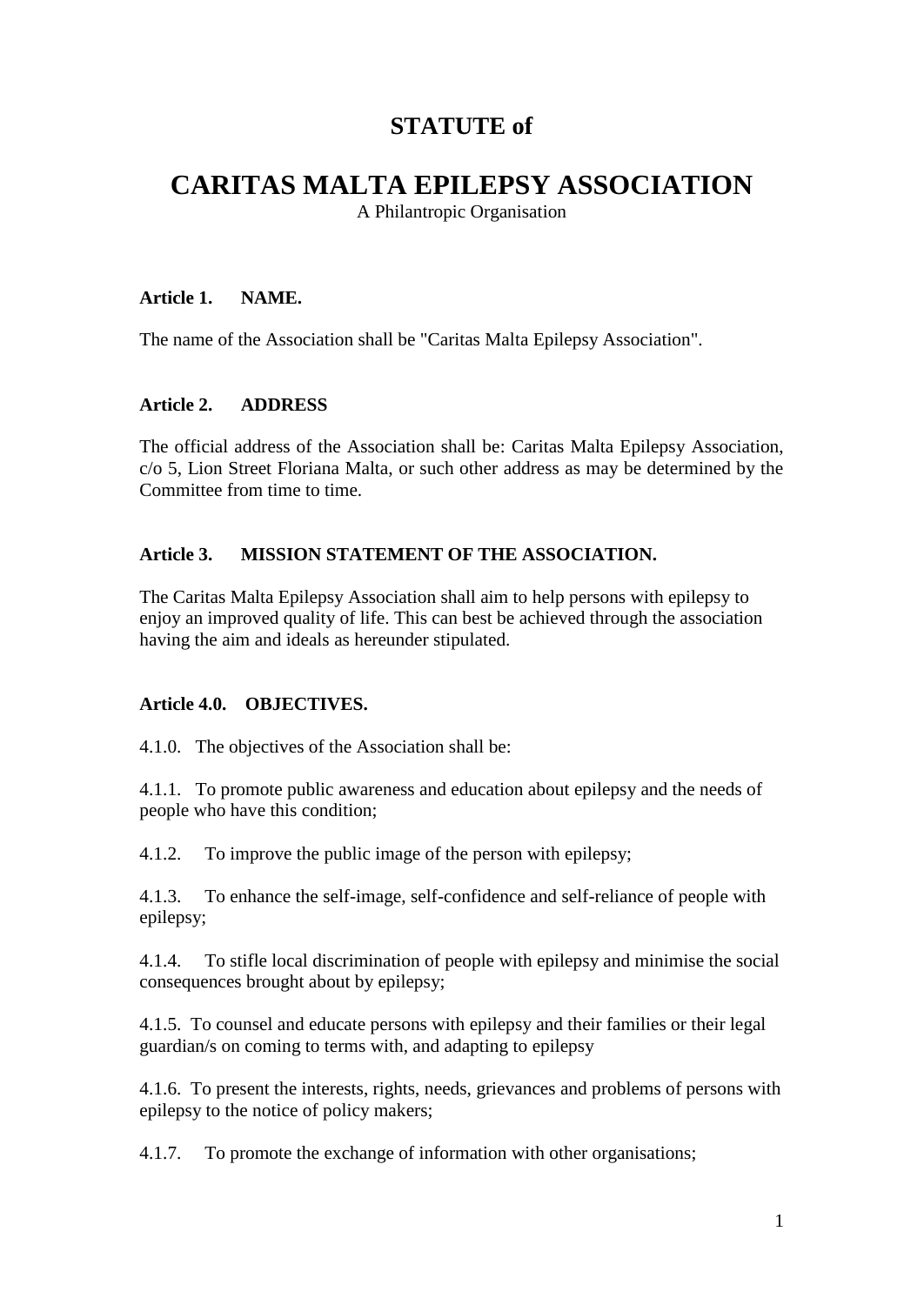## **STATUTE of**

# **CARITAS MALTA EPILEPSY ASSOCIATION**

A Philantropic Organisation

#### **Article 1. NAME.**

The name of the Association shall be "Caritas Malta Epilepsy Association".

#### **Article 2. ADDRESS**

The official address of the Association shall be: Caritas Malta Epilepsy Association, c/o 5, Lion Street Floriana Malta, or such other address as may be determined by the Committee from time to time.

#### **Article 3. MISSION STATEMENT OF THE ASSOCIATION.**

The Caritas Malta Epilepsy Association shall aim to help persons with epilepsy to enjoy an improved quality of life. This can best be achieved through the association having the aim and ideals as hereunder stipulated.

#### **Article 4.0. OBJECTIVES.**

4.1.0. The objectives of the Association shall be:

4.1.1. To promote public awareness and education about epilepsy and the needs of people who have this condition;

4.1.2. To improve the public image of the person with epilepsy;

4.1.3. To enhance the self-image, self-confidence and self-reliance of people with epilepsy;

4.1.4. To stifle local discrimination of people with epilepsy and minimise the social consequences brought about by epilepsy;

4.1.5. To counsel and educate persons with epilepsy and their families or their legal guardian/s on coming to terms with, and adapting to epilepsy

4.1.6. To present the interests, rights, needs, grievances and problems of persons with epilepsy to the notice of policy makers;

4.1.7. To promote the exchange of information with other organisations;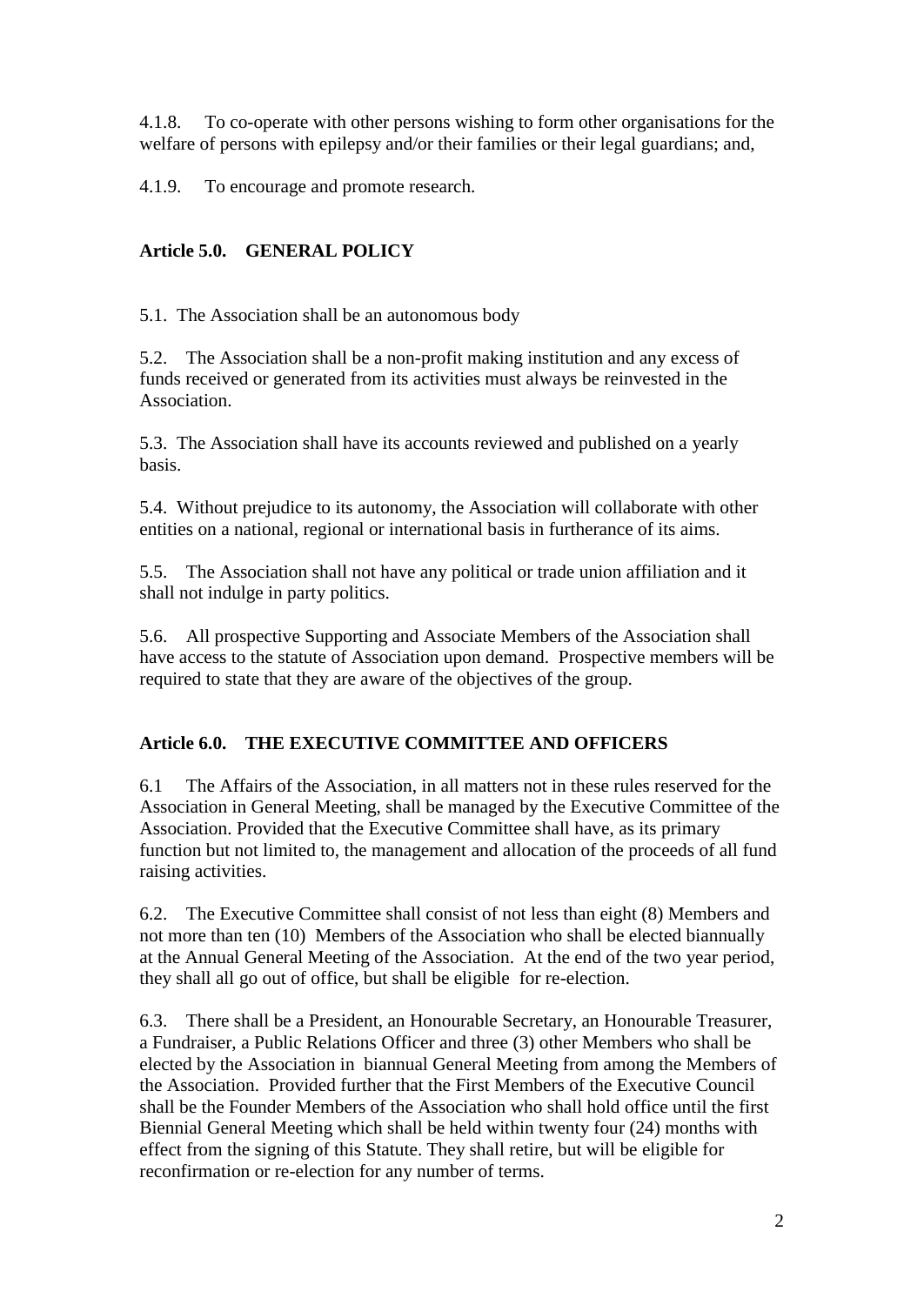4.1.8. To co-operate with other persons wishing to form other organisations for the welfare of persons with epilepsy and/or their families or their legal guardians; and,

4.1.9. To encourage and promote research.

## **Article 5.0. GENERAL POLICY**

5.1. The Association shall be an autonomous body

5.2. The Association shall be a non-profit making institution and any excess of funds received or generated from its activities must always be reinvested in the Association.

5.3. The Association shall have its accounts reviewed and published on a yearly basis.

5.4. Without prejudice to its autonomy, the Association will collaborate with other entities on a national, regional or international basis in furtherance of its aims.

5.5. The Association shall not have any political or trade union affiliation and it shall not indulge in party politics.

5.6. All prospective Supporting and Associate Members of the Association shall have access to the statute of Association upon demand. Prospective members will be required to state that they are aware of the objectives of the group.

## **Article 6.0. THE EXECUTIVE COMMITTEE AND OFFICERS**

6.1 The Affairs of the Association, in all matters not in these rules reserved for the Association in General Meeting, shall be managed by the Executive Committee of the Association. Provided that the Executive Committee shall have, as its primary function but not limited to, the management and allocation of the proceeds of all fund raising activities.

6.2. The Executive Committee shall consist of not less than eight (8) Members and not more than ten (10) Members of the Association who shall be elected biannually at the Annual General Meeting of the Association. At the end of the two year period, they shall all go out of office, but shall be eligible for re-election.

6.3. There shall be a President, an Honourable Secretary, an Honourable Treasurer, a Fundraiser, a Public Relations Officer and three (3) other Members who shall be elected by the Association in biannual General Meeting from among the Members of the Association. Provided further that the First Members of the Executive Council shall be the Founder Members of the Association who shall hold office until the first Biennial General Meeting which shall be held within twenty four (24) months with effect from the signing of this Statute. They shall retire, but will be eligible for reconfirmation or re-election for any number of terms.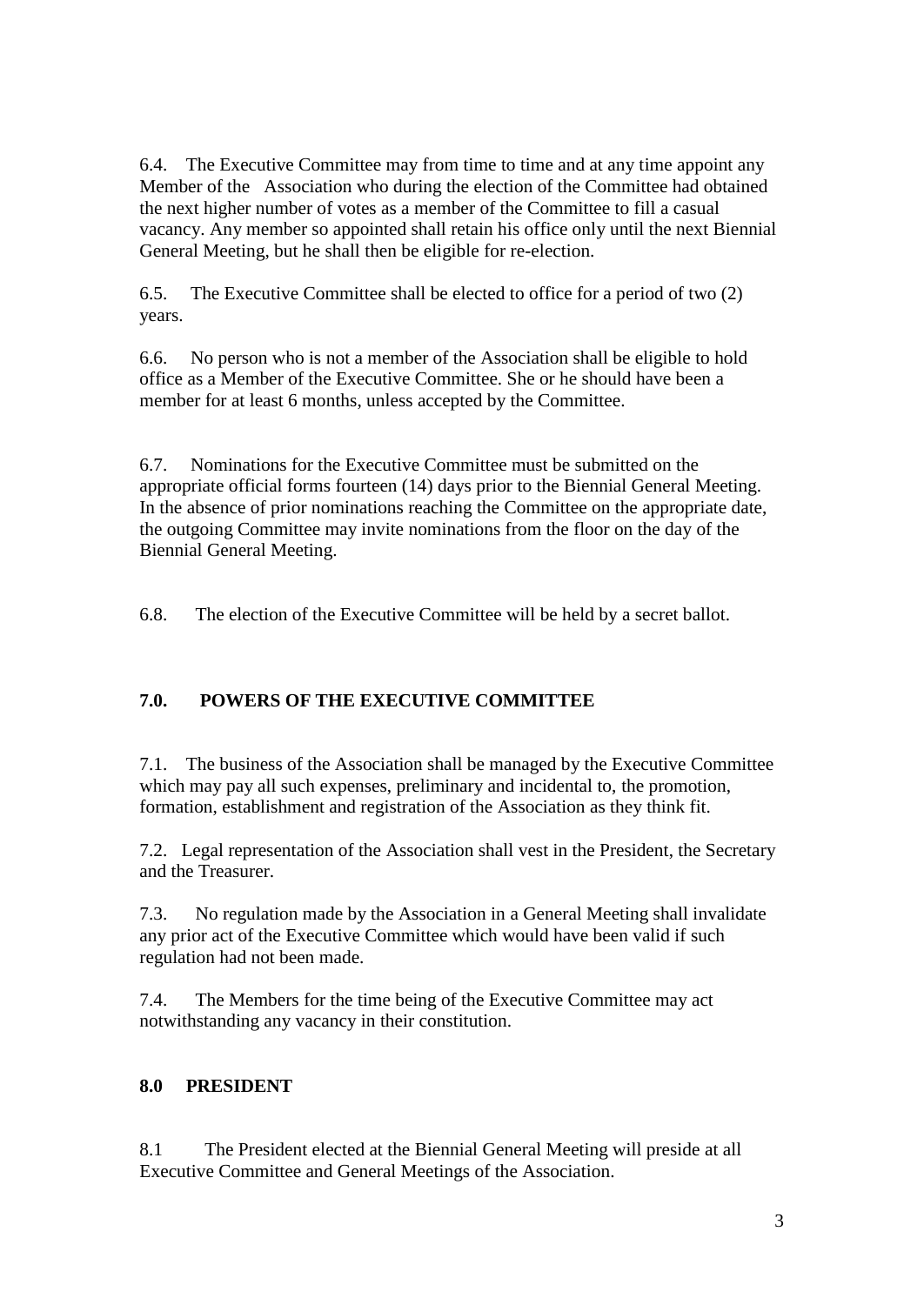6.4. The Executive Committee may from time to time and at any time appoint any Member of the Association who during the election of the Committee had obtained the next higher number of votes as a member of the Committee to fill a casual vacancy. Any member so appointed shall retain his office only until the next Biennial General Meeting, but he shall then be eligible for re-election.

6.5. The Executive Committee shall be elected to office for a period of two (2) years.

6.6. No person who is not a member of the Association shall be eligible to hold office as a Member of the Executive Committee. She or he should have been a member for at least 6 months, unless accepted by the Committee.

6.7. Nominations for the Executive Committee must be submitted on the appropriate official forms fourteen (14) days prior to the Biennial General Meeting. In the absence of prior nominations reaching the Committee on the appropriate date, the outgoing Committee may invite nominations from the floor on the day of the Biennial General Meeting.

6.8. The election of the Executive Committee will be held by a secret ballot.

## **7.0. POWERS OF THE EXECUTIVE COMMITTEE**

7.1. The business of the Association shall be managed by the Executive Committee which may pay all such expenses, preliminary and incidental to, the promotion, formation, establishment and registration of the Association as they think fit.

7.2. Legal representation of the Association shall vest in the President, the Secretary and the Treasurer.

7.3. No regulation made by the Association in a General Meeting shall invalidate any prior act of the Executive Committee which would have been valid if such regulation had not been made.

7.4. The Members for the time being of the Executive Committee may act notwithstanding any vacancy in their constitution.

## **8.0 PRESIDENT**

8.1 The President elected at the Biennial General Meeting will preside at all Executive Committee and General Meetings of the Association.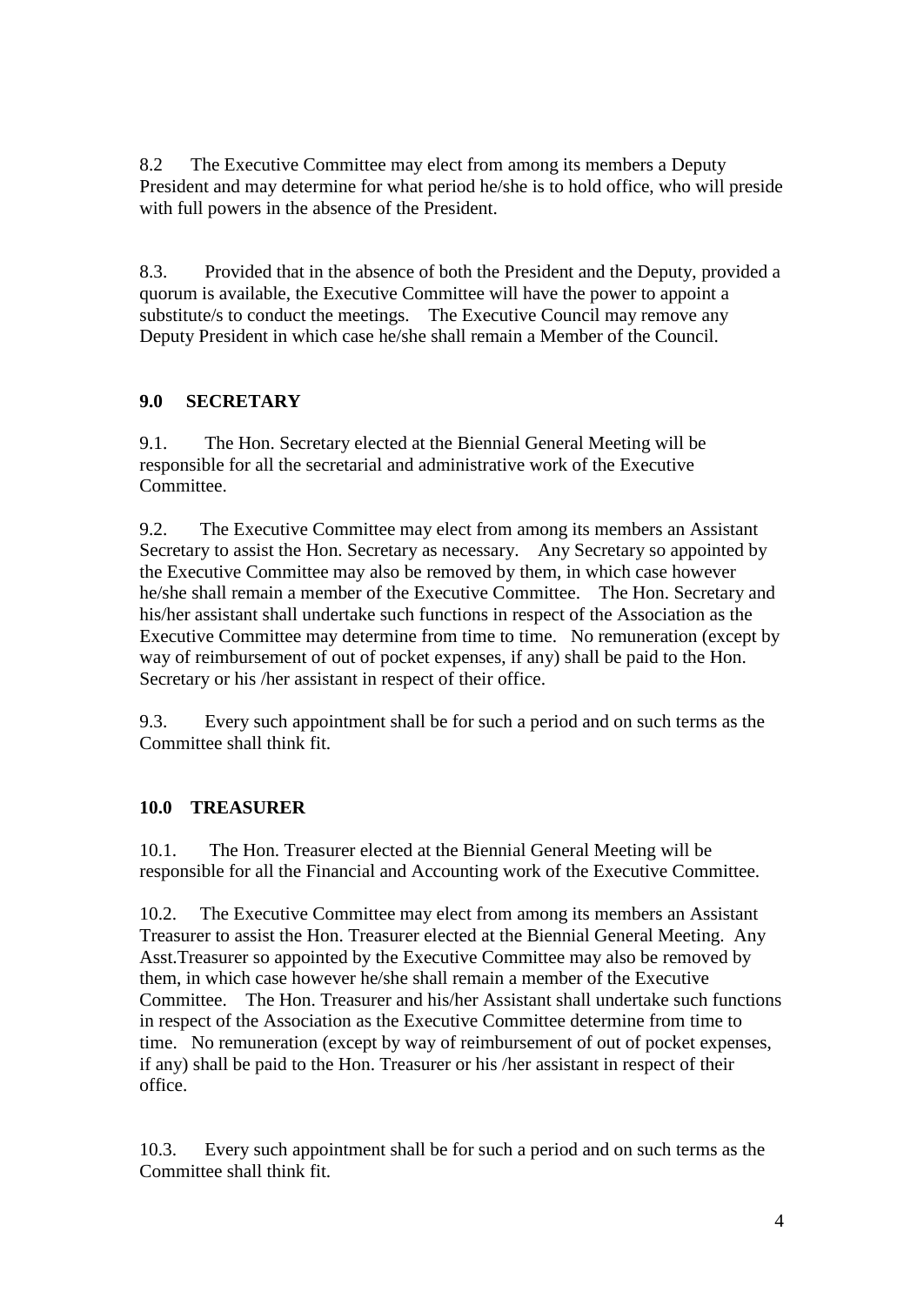8.2 The Executive Committee may elect from among its members a Deputy President and may determine for what period he/she is to hold office, who will preside with full powers in the absence of the President.

8.3. Provided that in the absence of both the President and the Deputy, provided a quorum is available, the Executive Committee will have the power to appoint a substitute/s to conduct the meetings. The Executive Council may remove any Deputy President in which case he/she shall remain a Member of the Council.

### **9.0 SECRETARY**

9.1. The Hon. Secretary elected at the Biennial General Meeting will be responsible for all the secretarial and administrative work of the Executive Committee.

9.2. The Executive Committee may elect from among its members an Assistant Secretary to assist the Hon. Secretary as necessary. Any Secretary so appointed by the Executive Committee may also be removed by them, in which case however he/she shall remain a member of the Executive Committee. The Hon. Secretary and his/her assistant shall undertake such functions in respect of the Association as the Executive Committee may determine from time to time. No remuneration (except by way of reimbursement of out of pocket expenses, if any) shall be paid to the Hon. Secretary or his /her assistant in respect of their office.

9.3. Every such appointment shall be for such a period and on such terms as the Committee shall think fit.

## **10.0 TREASURER**

10.1. The Hon. Treasurer elected at the Biennial General Meeting will be responsible for all the Financial and Accounting work of the Executive Committee.

10.2. The Executive Committee may elect from among its members an Assistant Treasurer to assist the Hon. Treasurer elected at the Biennial General Meeting. Any Asst.Treasurer so appointed by the Executive Committee may also be removed by them, in which case however he/she shall remain a member of the Executive Committee. The Hon. Treasurer and his/her Assistant shall undertake such functions in respect of the Association as the Executive Committee determine from time to time. No remuneration (except by way of reimbursement of out of pocket expenses, if any) shall be paid to the Hon. Treasurer or his /her assistant in respect of their office.

10.3. Every such appointment shall be for such a period and on such terms as the Committee shall think fit.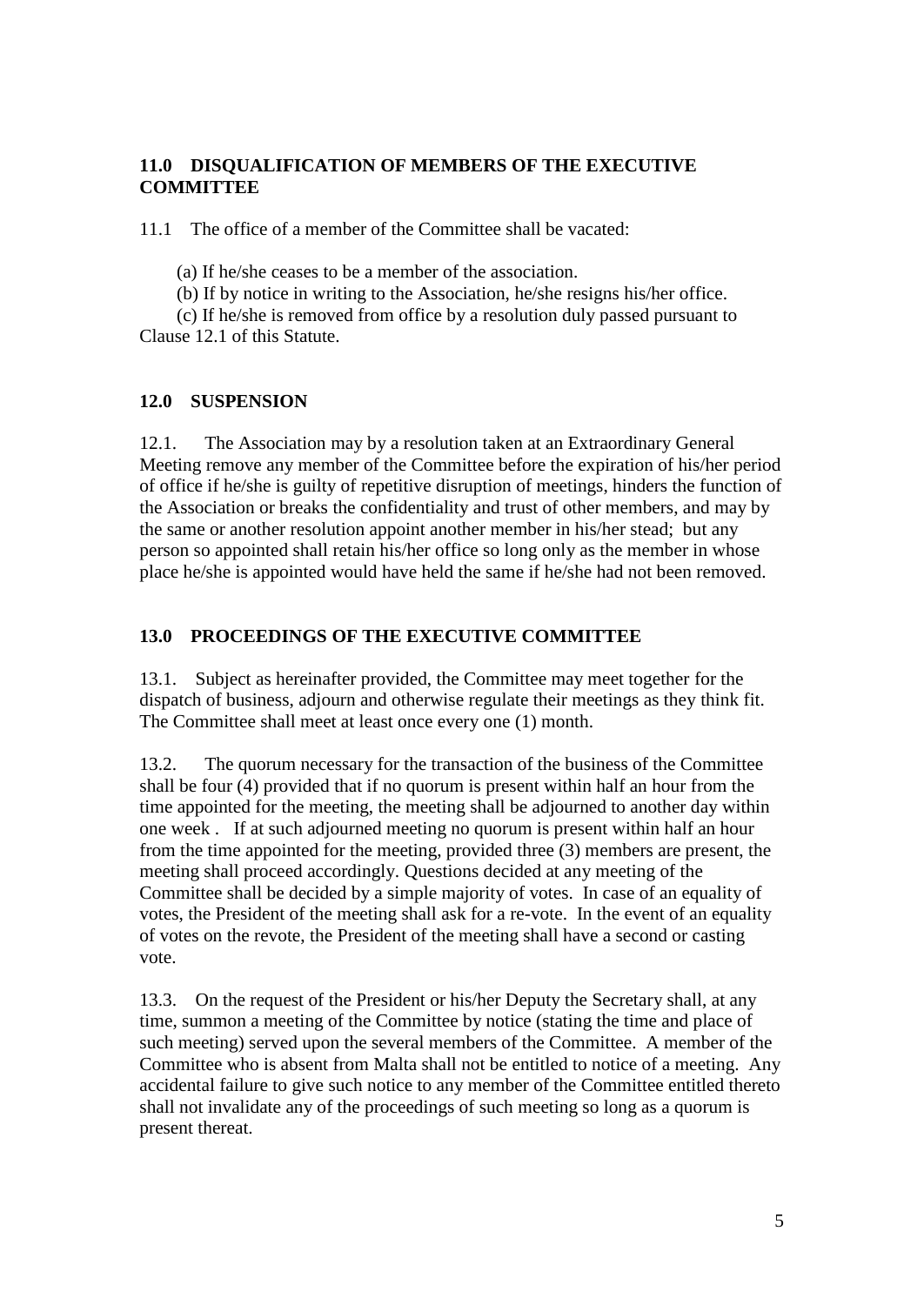#### **11.0 DISQUALIFICATION OF MEMBERS OF THE EXECUTIVE COMMITTEE**

11.1 The office of a member of the Committee shall be vacated:

(a) If he/she ceases to be a member of the association.

(b) If by notice in writing to the Association, he/she resigns his/her office.

 (c) If he/she is removed from office by a resolution duly passed pursuant to Clause 12.1 of this Statute.

#### **12.0 SUSPENSION**

12.1. The Association may by a resolution taken at an Extraordinary General Meeting remove any member of the Committee before the expiration of his/her period of office if he/she is guilty of repetitive disruption of meetings, hinders the function of the Association or breaks the confidentiality and trust of other members, and may by the same or another resolution appoint another member in his/her stead; but any person so appointed shall retain his/her office so long only as the member in whose place he/she is appointed would have held the same if he/she had not been removed.

#### **13.0 PROCEEDINGS OF THE EXECUTIVE COMMITTEE**

13.1. Subject as hereinafter provided, the Committee may meet together for the dispatch of business, adjourn and otherwise regulate their meetings as they think fit. The Committee shall meet at least once every one (1) month.

13.2. The quorum necessary for the transaction of the business of the Committee shall be four (4) provided that if no quorum is present within half an hour from the time appointed for the meeting, the meeting shall be adjourned to another day within one week . If at such adjourned meeting no quorum is present within half an hour from the time appointed for the meeting, provided three (3) members are present, the meeting shall proceed accordingly. Questions decided at any meeting of the Committee shall be decided by a simple majority of votes. In case of an equality of votes, the President of the meeting shall ask for a re-vote. In the event of an equality of votes on the revote, the President of the meeting shall have a second or casting vote.

13.3. On the request of the President or his/her Deputy the Secretary shall, at any time, summon a meeting of the Committee by notice (stating the time and place of such meeting) served upon the several members of the Committee. A member of the Committee who is absent from Malta shall not be entitled to notice of a meeting. Any accidental failure to give such notice to any member of the Committee entitled thereto shall not invalidate any of the proceedings of such meeting so long as a quorum is present thereat.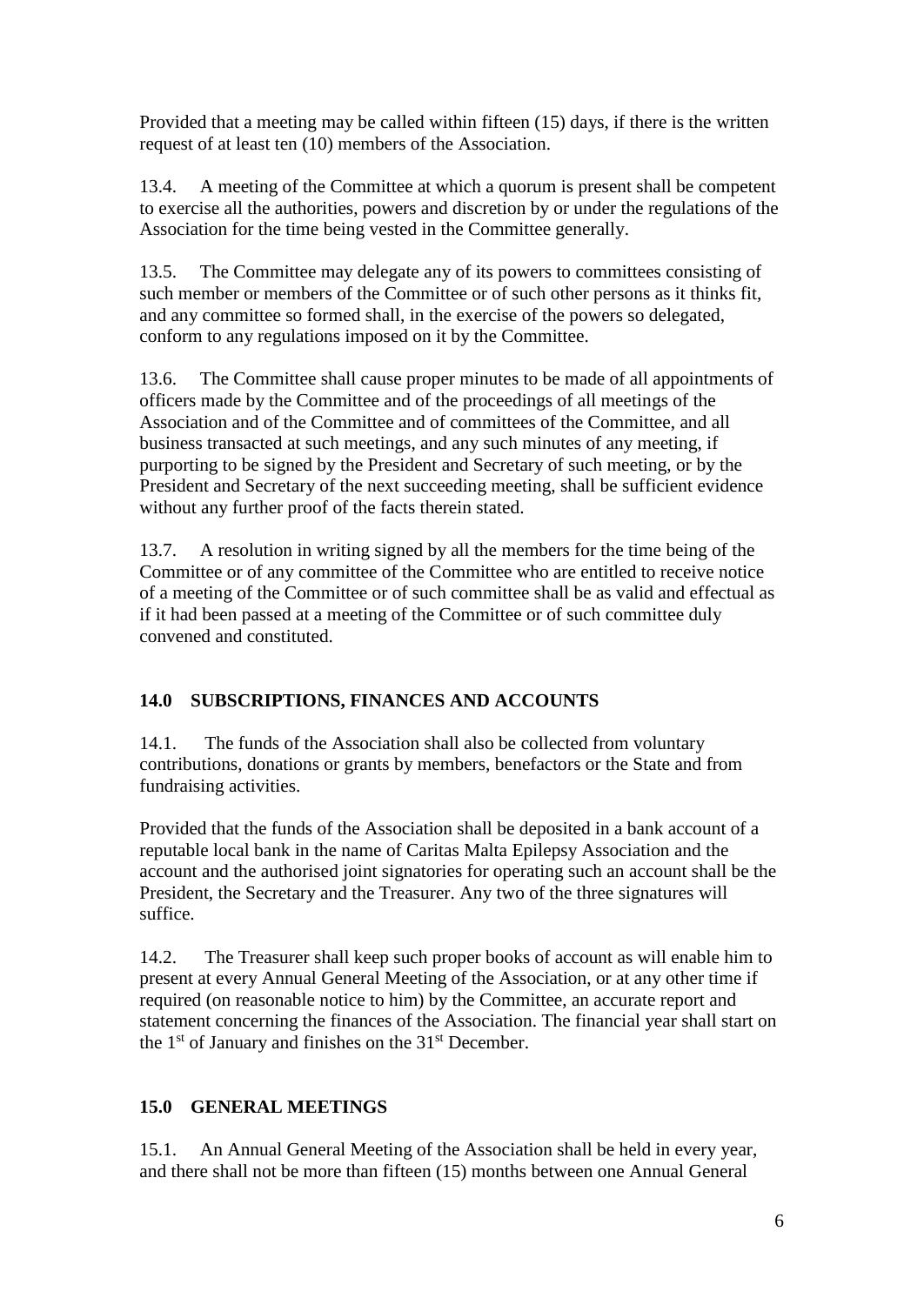Provided that a meeting may be called within fifteen (15) days, if there is the written request of at least ten (10) members of the Association.

13.4. A meeting of the Committee at which a quorum is present shall be competent to exercise all the authorities, powers and discretion by or under the regulations of the Association for the time being vested in the Committee generally.

13.5. The Committee may delegate any of its powers to committees consisting of such member or members of the Committee or of such other persons as it thinks fit, and any committee so formed shall, in the exercise of the powers so delegated, conform to any regulations imposed on it by the Committee.

13.6. The Committee shall cause proper minutes to be made of all appointments of officers made by the Committee and of the proceedings of all meetings of the Association and of the Committee and of committees of the Committee, and all business transacted at such meetings, and any such minutes of any meeting, if purporting to be signed by the President and Secretary of such meeting, or by the President and Secretary of the next succeeding meeting, shall be sufficient evidence without any further proof of the facts therein stated.

13.7. A resolution in writing signed by all the members for the time being of the Committee or of any committee of the Committee who are entitled to receive notice of a meeting of the Committee or of such committee shall be as valid and effectual as if it had been passed at a meeting of the Committee or of such committee duly convened and constituted.

## **14.0 SUBSCRIPTIONS, FINANCES AND ACCOUNTS**

14.1. The funds of the Association shall also be collected from voluntary contributions, donations or grants by members, benefactors or the State and from fundraising activities.

Provided that the funds of the Association shall be deposited in a bank account of a reputable local bank in the name of Caritas Malta Epilepsy Association and the account and the authorised joint signatories for operating such an account shall be the President, the Secretary and the Treasurer. Any two of the three signatures will suffice.

14.2. The Treasurer shall keep such proper books of account as will enable him to present at every Annual General Meeting of the Association, or at any other time if required (on reasonable notice to him) by the Committee, an accurate report and statement concerning the finances of the Association. The financial year shall start on the 1<sup>st</sup> of January and finishes on the 31<sup>st</sup> December.

## **15.0 GENERAL MEETINGS**

15.1. An Annual General Meeting of the Association shall be held in every year, and there shall not be more than fifteen (15) months between one Annual General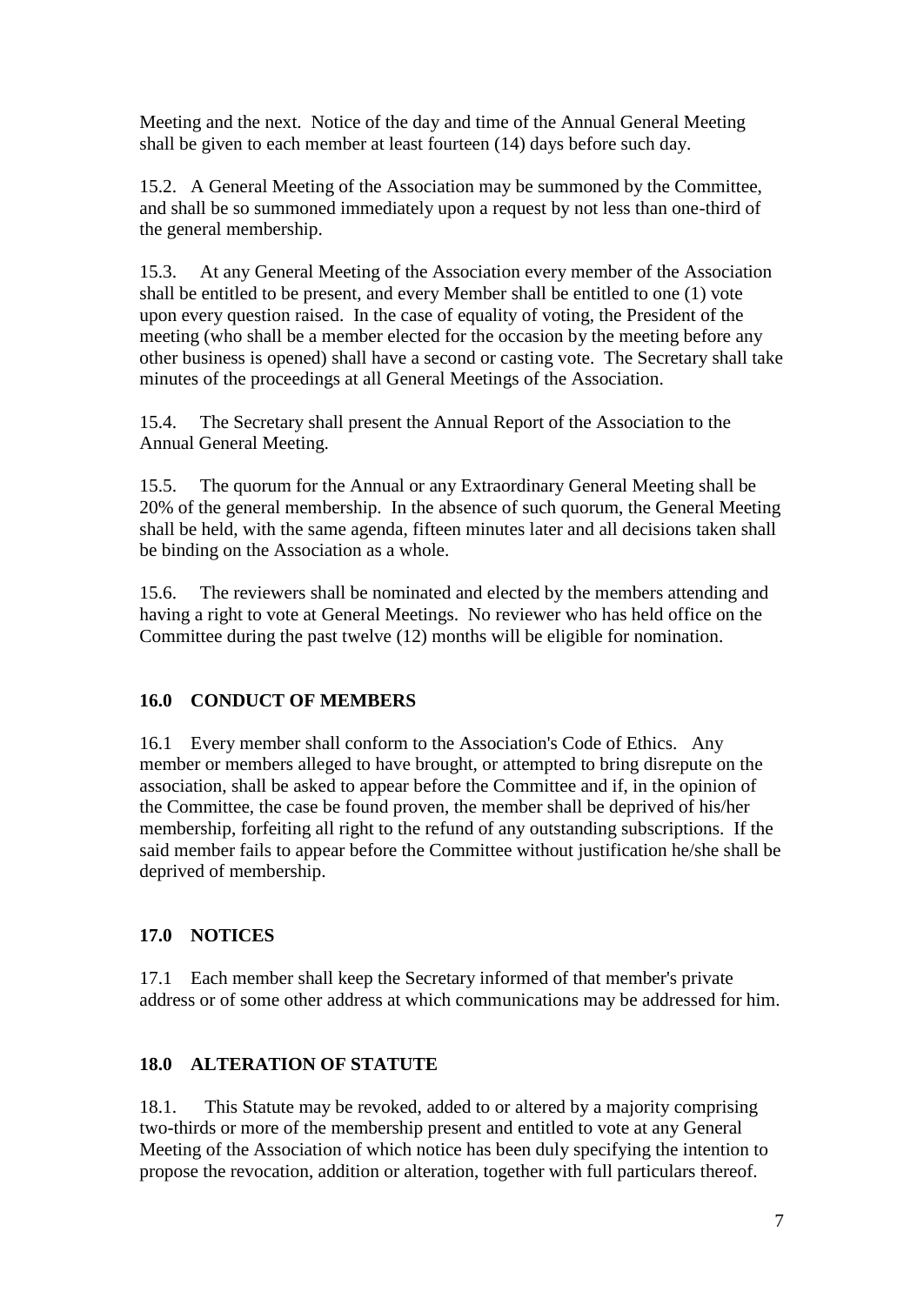Meeting and the next. Notice of the day and time of the Annual General Meeting shall be given to each member at least fourteen (14) days before such day.

15.2. A General Meeting of the Association may be summoned by the Committee, and shall be so summoned immediately upon a request by not less than one-third of the general membership.

15.3. At any General Meeting of the Association every member of the Association shall be entitled to be present, and every Member shall be entitled to one (1) vote upon every question raised. In the case of equality of voting, the President of the meeting (who shall be a member elected for the occasion by the meeting before any other business is opened) shall have a second or casting vote. The Secretary shall take minutes of the proceedings at all General Meetings of the Association.

15.4. The Secretary shall present the Annual Report of the Association to the Annual General Meeting.

15.5. The quorum for the Annual or any Extraordinary General Meeting shall be 20% of the general membership. In the absence of such quorum, the General Meeting shall be held, with the same agenda, fifteen minutes later and all decisions taken shall be binding on the Association as a whole.

15.6. The reviewers shall be nominated and elected by the members attending and having a right to vote at General Meetings. No reviewer who has held office on the Committee during the past twelve (12) months will be eligible for nomination.

## **16.0 CONDUCT OF MEMBERS**

16.1 Every member shall conform to the Association's Code of Ethics. Any member or members alleged to have brought, or attempted to bring disrepute on the association, shall be asked to appear before the Committee and if, in the opinion of the Committee, the case be found proven, the member shall be deprived of his/her membership, forfeiting all right to the refund of any outstanding subscriptions. If the said member fails to appear before the Committee without justification he/she shall be deprived of membership.

#### **17.0 NOTICES**

17.1 Each member shall keep the Secretary informed of that member's private address or of some other address at which communications may be addressed for him.

## **18.0 ALTERATION OF STATUTE**

18.1. This Statute may be revoked, added to or altered by a majority comprising two-thirds or more of the membership present and entitled to vote at any General Meeting of the Association of which notice has been duly specifying the intention to propose the revocation, addition or alteration, together with full particulars thereof.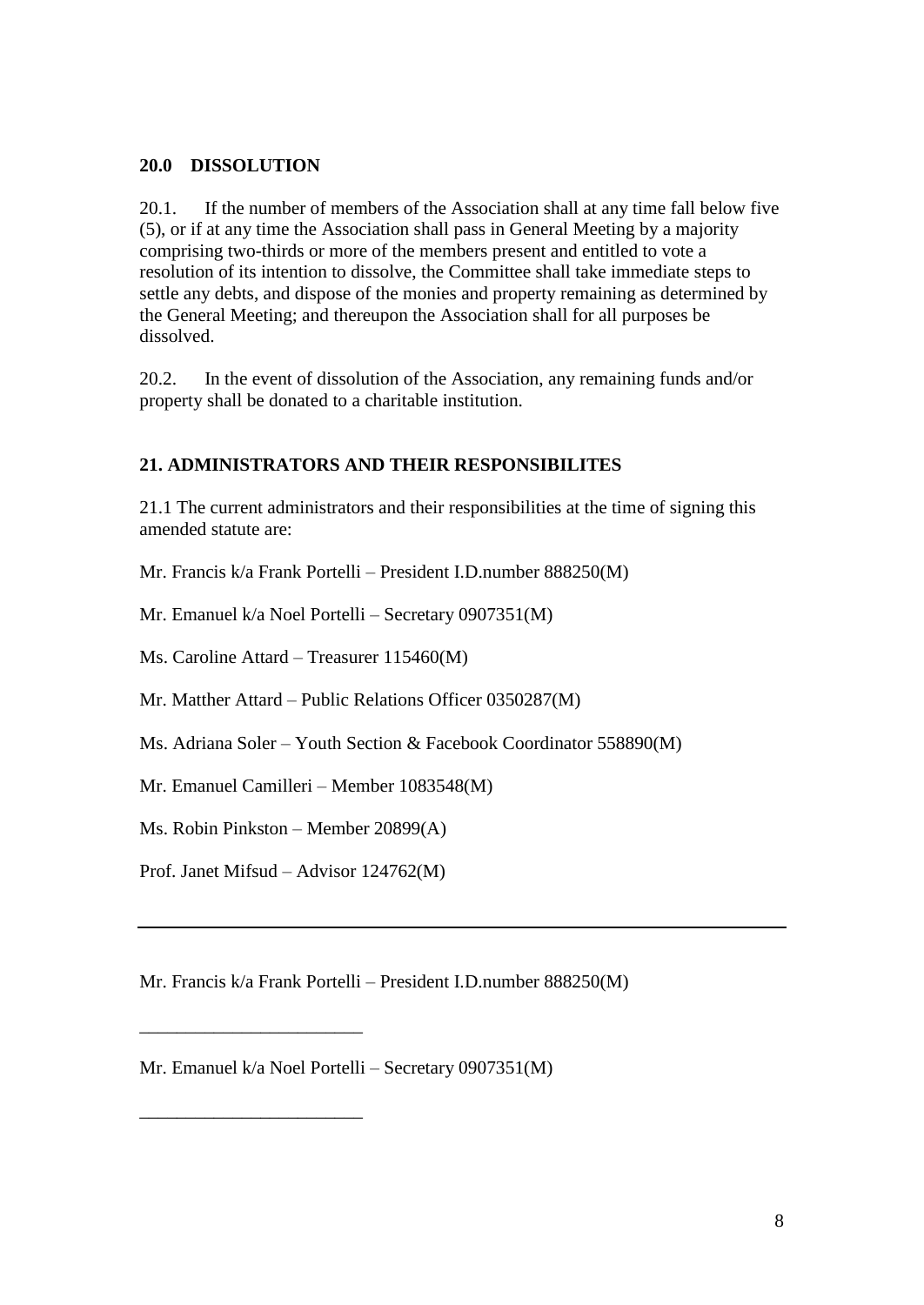#### **20.0 DISSOLUTION**

20.1. If the number of members of the Association shall at any time fall below five (5), or if at any time the Association shall pass in General Meeting by a majority comprising two-thirds or more of the members present and entitled to vote a resolution of its intention to dissolve, the Committee shall take immediate steps to settle any debts, and dispose of the monies and property remaining as determined by the General Meeting; and thereupon the Association shall for all purposes be dissolved.

20.2. In the event of dissolution of the Association, any remaining funds and/or property shall be donated to a charitable institution.

#### **21. ADMINISTRATORS AND THEIR RESPONSIBILITES**

21.1 The current administrators and their responsibilities at the time of signing this amended statute are:

Mr. Francis k/a Frank Portelli – President I.D.number 888250(M)

Mr. Emanuel k/a Noel Portelli – Secretary 0907351(M)

Ms. Caroline Attard – Treasurer 115460(M)

Mr. Matther Attard – Public Relations Officer 0350287(M)

Ms. Adriana Soler – Youth Section & Facebook Coordinator 558890(M)

Mr. Emanuel Camilleri – Member 1083548(M)

Ms. Robin Pinkston – Member 20899(A)

Prof. Janet Mifsud – Advisor 124762(M)

\_\_\_\_\_\_\_\_\_\_\_\_\_\_\_\_\_\_\_\_\_\_\_\_

\_\_\_\_\_\_\_\_\_\_\_\_\_\_\_\_\_\_\_\_\_\_\_\_

Mr. Francis k/a Frank Portelli – President I.D.number 888250(M)

Mr. Emanuel k/a Noel Portelli – Secretary 0907351(M)